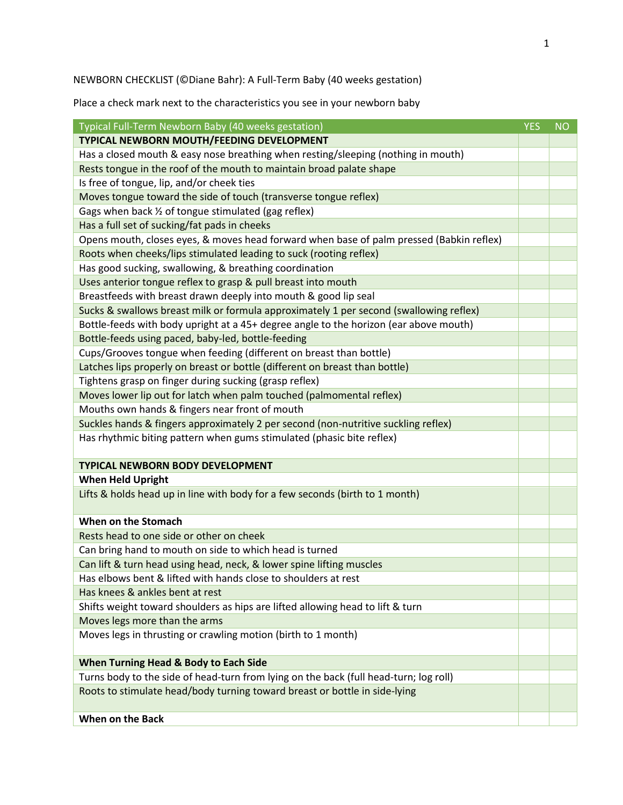## NEWBORN CHECKLIST (©Diane Bahr): A Full-Term Baby (40 weeks gestation)

Place a check mark next to the characteristics you see in your newborn baby

| Typical Full-Term Newborn Baby (40 weeks gestation)                                      | <b>YES</b> | <b>NO</b> |
|------------------------------------------------------------------------------------------|------------|-----------|
| TYPICAL NEWBORN MOUTH/FEEDING DEVELOPMENT                                                |            |           |
| Has a closed mouth & easy nose breathing when resting/sleeping (nothing in mouth)        |            |           |
| Rests tongue in the roof of the mouth to maintain broad palate shape                     |            |           |
| Is free of tongue, lip, and/or cheek ties                                                |            |           |
| Moves tongue toward the side of touch (transverse tongue reflex)                         |            |           |
| Gags when back 1/2 of tongue stimulated (gag reflex)                                     |            |           |
| Has a full set of sucking/fat pads in cheeks                                             |            |           |
| Opens mouth, closes eyes, & moves head forward when base of palm pressed (Babkin reflex) |            |           |
| Roots when cheeks/lips stimulated leading to suck (rooting reflex)                       |            |           |
| Has good sucking, swallowing, & breathing coordination                                   |            |           |
| Uses anterior tongue reflex to grasp & pull breast into mouth                            |            |           |
| Breastfeeds with breast drawn deeply into mouth & good lip seal                          |            |           |
| Sucks & swallows breast milk or formula approximately 1 per second (swallowing reflex)   |            |           |
| Bottle-feeds with body upright at a 45+ degree angle to the horizon (ear above mouth)    |            |           |
| Bottle-feeds using paced, baby-led, bottle-feeding                                       |            |           |
| Cups/Grooves tongue when feeding (different on breast than bottle)                       |            |           |
| Latches lips properly on breast or bottle (different on breast than bottle)              |            |           |
| Tightens grasp on finger during sucking (grasp reflex)                                   |            |           |
| Moves lower lip out for latch when palm touched (palmomental reflex)                     |            |           |
| Mouths own hands & fingers near front of mouth                                           |            |           |
| Suckles hands & fingers approximately 2 per second (non-nutritive suckling reflex)       |            |           |
| Has rhythmic biting pattern when gums stimulated (phasic bite reflex)                    |            |           |
| <b>TYPICAL NEWBORN BODY DEVELOPMENT</b>                                                  |            |           |
| <b>When Held Upright</b>                                                                 |            |           |
| Lifts & holds head up in line with body for a few seconds (birth to 1 month)             |            |           |
| When on the Stomach                                                                      |            |           |
| Rests head to one side or other on cheek                                                 |            |           |
| Can bring hand to mouth on side to which head is turned                                  |            |           |
| Can lift & turn head using head, neck, & lower spine lifting muscles                     |            |           |
| Has elbows bent & lifted with hands close to shoulders at rest                           |            |           |
| Has knees & ankles bent at rest                                                          |            |           |
| Shifts weight toward shoulders as hips are lifted allowing head to lift & turn           |            |           |
| Moves legs more than the arms                                                            |            |           |
| Moves legs in thrusting or crawling motion (birth to 1 month)                            |            |           |
| When Turning Head & Body to Each Side                                                    |            |           |
| Turns body to the side of head-turn from lying on the back (full head-turn; log roll)    |            |           |
| Roots to stimulate head/body turning toward breast or bottle in side-lying               |            |           |
| <b>When on the Back</b>                                                                  |            |           |